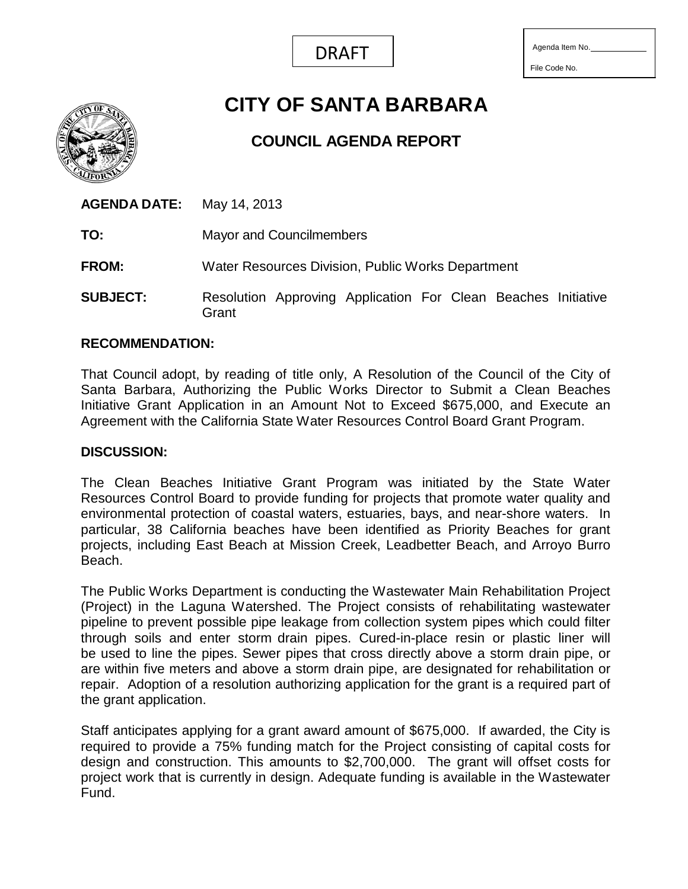

File Code No.

# **CITY OF SANTA BARBARA**

## **COUNCIL AGENDA REPORT**

**AGENDA DATE:** May 14, 2013 **TO:** Mayor and Councilmembers **FROM:** Water Resources Division, Public Works Department **SUBJECT:** Resolution Approving Application For Clean Beaches Initiative Grant

#### **RECOMMENDATION:**

That Council adopt, by reading of title only, A Resolution of the Council of the City of Santa Barbara, Authorizing the Public Works Director to Submit a Clean Beaches Initiative Grant Application in an Amount Not to Exceed \$675,000, and Execute an Agreement with the California State Water Resources Control Board Grant Program.

#### **DISCUSSION:**

The Clean Beaches Initiative Grant Program was initiated by the State Water Resources Control Board to provide funding for projects that promote water quality and environmental protection of coastal waters, estuaries, bays, and near-shore waters. In particular, 38 California beaches have been identified as Priority Beaches for grant projects, including East Beach at Mission Creek, Leadbetter Beach, and Arroyo Burro Beach.

The Public Works Department is conducting the Wastewater Main Rehabilitation Project (Project) in the Laguna Watershed. The Project consists of rehabilitating wastewater pipeline to prevent possible pipe leakage from collection system pipes which could filter through soils and enter storm drain pipes. Cured-in-place resin or plastic liner will be used to line the pipes. Sewer pipes that cross directly above a storm drain pipe, or are within five meters and above a storm drain pipe, are designated for rehabilitation or repair. Adoption of a resolution authorizing application for the grant is a required part of the grant application.

Staff anticipates applying for a grant award amount of \$675,000. If awarded, the City is required to provide a 75% funding match for the Project consisting of capital costs for design and construction. This amounts to \$2,700,000. The grant will offset costs for project work that is currently in design. Adequate funding is available in the Wastewater Fund.